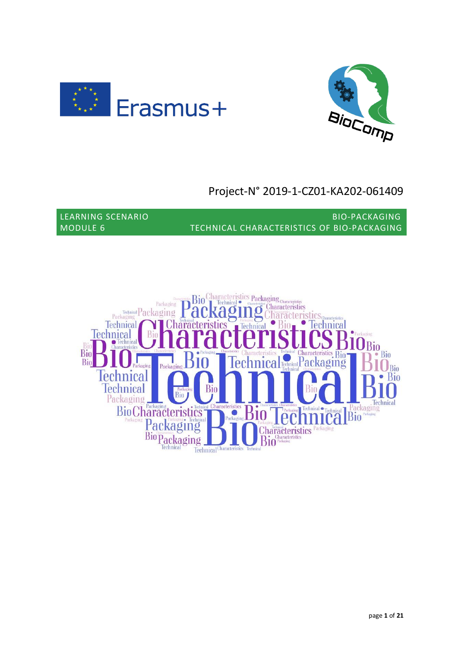



# Project-N° 2019-1-CZ01-KA202-061409

LEARNING SCENARIO BIO-PACKAGING MODULE 6 TECHNICAL CHARACTERISTICS OF BIO-PACKAGING

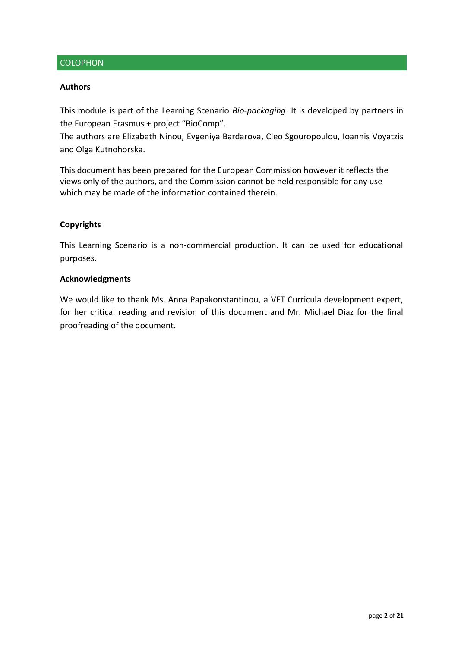## **COLOPHON**

#### **Authors**

This module is part of the Learning Scenario *Bio-packaging*. It is developed by partners in the European Erasmus + project "BioComp".

The authors are Elizabeth Ninou, Evgeniya Bardarova, Cleo Sgouropoulou, Ioannis Voyatzis and Olga Kutnohorska.

This document has been prepared for the European Commission however it reflects the views only of the authors, and the Commission cannot be held responsible for any use which may be made of the information contained therein.

#### **Copyrights**

This Learning Scenario is a non-commercial production. It can be used for educational purposes.

#### **Acknowledgments**

We would like to thank Ms. Anna Papakonstantinou, a VET Curricula development expert, for her critical reading and revision of this document and Mr. Michael Diaz for the final proofreading of the document.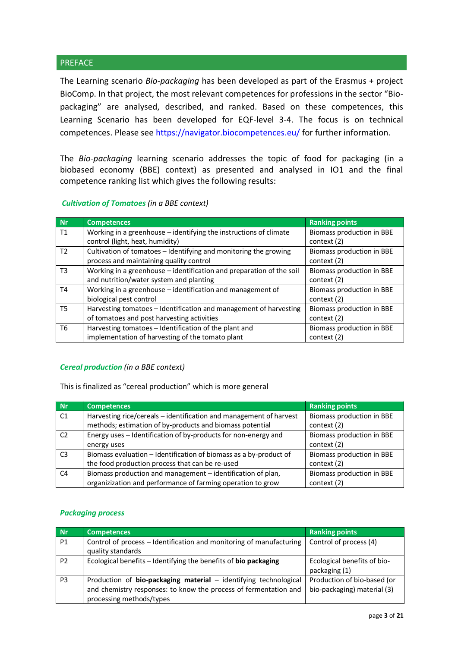#### **PREFACE**

The Learning scenario *Bio-packaging* has been developed as part of the Erasmus + project BioComp. In that project, the most relevant competences for professions in the sector "Biopackaging" are analysed, described, and ranked. Based on these competences, this Learning Scenario has been developed for EQF-level 3-4. The focus is on technical competences. Please see<https://navigator.biocompetences.eu/> for further information.

The *Bio-packaging* learning scenario addresses the topic of food for packaging (in a biobased economy (BBE) context) as presented and analysed in IO1 and the final competence ranking list which gives the following results:

#### *Cultivation of Tomatoes (in a BBE context)*

| <b>Nr</b>      | <b>Competences</b>                                                                                              | <b>Ranking points</b>                    |
|----------------|-----------------------------------------------------------------------------------------------------------------|------------------------------------------|
| T1             | Working in a greenhouse $-$ identifying the instructions of climate<br>control (light, heat, humidity)          | Biomass production in BBE<br>context (2) |
| T <sub>2</sub> | Cultivation of tomatoes - Identifying and monitoring the growing<br>process and maintaining quality control     | Biomass production in BBE<br>context (2) |
| T <sub>3</sub> | Working in a greenhouse - identification and preparation of the soil<br>and nutrition/water system and planting | Biomass production in BBE<br>context (2) |
| T4             | Working in a greenhouse - identification and management of<br>biological pest control                           | Biomass production in BBE<br>context (2) |
| T5             | Harvesting tomatoes - Identification and management of harvesting<br>of tomatoes and post harvesting activities | Biomass production in BBE<br>context (2) |
| T6             | Harvesting tomatoes - Identification of the plant and<br>implementation of harvesting of the tomato plant       | Biomass production in BBE<br>context (2) |

#### *Cereal production (in a BBE context)*

This is finalized as "cereal production" which is more general

| Nr             | <b>Competences</b>                                                 | <b>Ranking points</b>     |
|----------------|--------------------------------------------------------------------|---------------------------|
| C1             | Harvesting rice/cereals - identification and management of harvest | Biomass production in BBE |
|                | methods; estimation of by-products and biomass potential           | context (2)               |
| C <sub>2</sub> | Energy uses - Identification of by-products for non-energy and     | Biomass production in BBE |
|                | energy uses                                                        | context (2)               |
| C <sub>3</sub> | Biomass evaluation – Identification of biomass as a by-product of  | Biomass production in BBE |
|                | the food production process that can be re-used                    | context (2)               |
| C <sub>4</sub> | Biomass production and management - identification of plan,        | Biomass production in BBE |
|                | organizization and performance of farming operation to grow        | context (2)               |

#### *Packaging process*

| Nr             | Competences                                                                                                                                                      | <b>Ranking points</b>                                      |
|----------------|------------------------------------------------------------------------------------------------------------------------------------------------------------------|------------------------------------------------------------|
| <b>P1</b>      | Control of process - Identification and monitoring of manufacturing<br>quality standards                                                                         | Control of process (4)                                     |
| P <sub>2</sub> | Ecological benefits - Identifying the benefits of bio packaging                                                                                                  | Ecological benefits of bio-<br>packaging (1)               |
| P <sub>3</sub> | Production of bio-packaging material - identifying technological<br>and chemistry responses: to know the process of fermentation and<br>processing methods/types | Production of bio-based (or<br>bio-packaging) material (3) |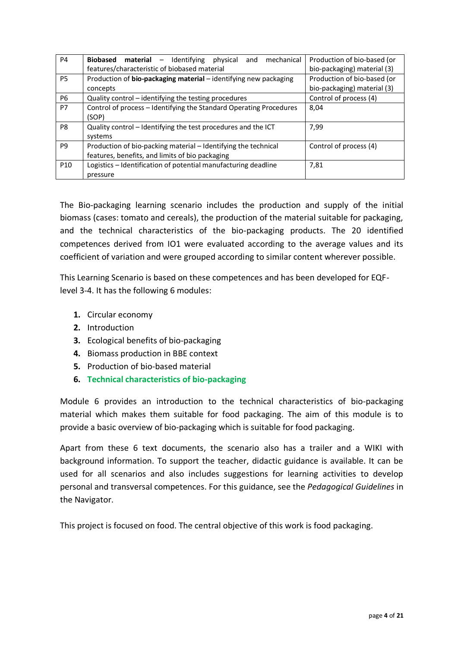| P <sub>4</sub>  | – Identifying<br>Biobased material<br>mechanical<br>physical<br>and | Production of bio-based (or |  |
|-----------------|---------------------------------------------------------------------|-----------------------------|--|
|                 | features/characteristic of biobased material                        | bio-packaging) material (3) |  |
| P5              | Production of bio-packaging material - identifying new packaging    | Production of bio-based (or |  |
|                 | concepts                                                            | bio-packaging) material (3) |  |
| <b>P6</b>       | Quality control - identifying the testing procedures                | Control of process (4)      |  |
| P7              | Control of process - Identifying the Standard Operating Procedures  | 8,04                        |  |
|                 | (SOP)                                                               |                             |  |
| P8              | Quality control - Identifying the test procedures and the ICT       | 7,99                        |  |
|                 | systems                                                             |                             |  |
| P <sub>9</sub>  | Production of bio-packing material – Identifying the technical      | Control of process (4)      |  |
|                 | features, benefits, and limits of bio packaging                     |                             |  |
| P <sub>10</sub> | Logistics - Identification of potential manufacturing deadline      | 7,81                        |  |
|                 | pressure                                                            |                             |  |

The Bio-packaging learning scenario includes the production and supply of the initial biomass (cases: tomato and cereals), the production of the material suitable for packaging, and the technical characteristics of the bio-packaging products. The 20 identified competences derived from IO1 were evaluated according to the average values and its coefficient of variation and were grouped according to similar content wherever possible.

This Learning Scenario is based on these competences and has been developed for EQFlevel 3-4. It has the following 6 modules:

- **1.** Circular economy
- **2.** Introduction
- **3.** Ecological benefits of bio-packaging
- **4.** Biomass production in BBE context
- **5.** Production of bio-based material
- **6. Technical characteristics of bio-packaging**

Module 6 provides an introduction to the technical characteristics of bio-packaging material which makes them suitable for food packaging. The aim of this module is to provide a basic overview of bio-packaging which is suitable for food packaging.

Apart from these 6 text documents, the scenario also has a trailer and a WIKI with background information. To support the teacher, didactic guidance is available. It can be used for all scenarios and also includes suggestions for learning activities to develop personal and transversal competences. For this guidance, see the *Pedagogical Guidelines* in the Navigator.

This project is focused on food. The central objective of this work is food packaging.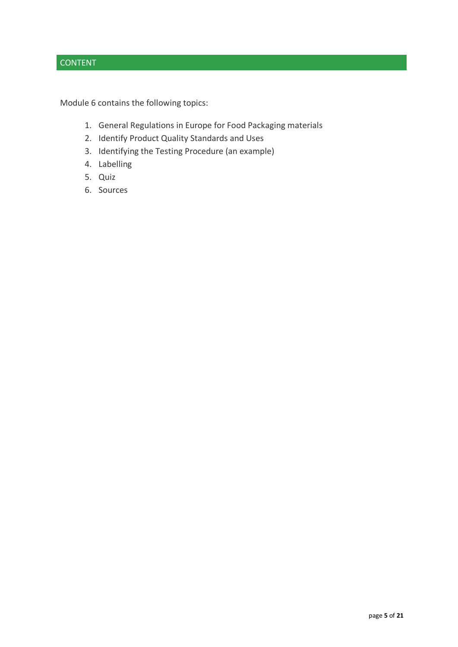## CONTENT

Module 6 contains the following topics:

- 1. General Regulations in Europe for Food Packaging materials
- 2. Identify Product Quality Standards and Uses
- 3. Identifying the Testing Procedure (an example)
- 4. Labelling
- 5. Quiz
- 6. Sources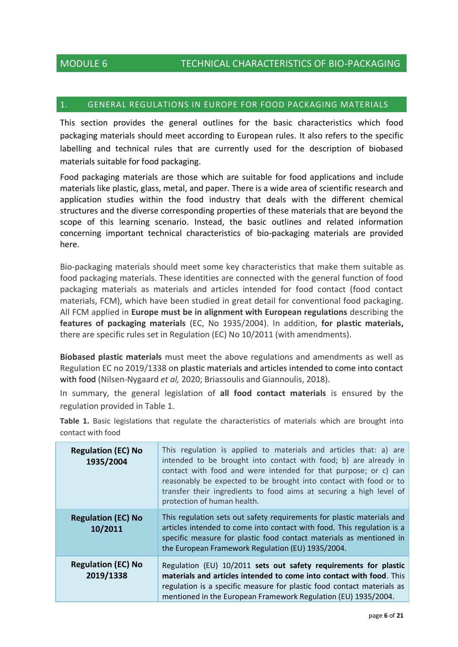## 1. GENERAL REGULATIONS IN EUROPE FOR FOOD PACKAGING MATERIALS

This section provides the general outlines for the basic characteristics which food packaging materials should meet according to European rules. It also refers to the specific labelling and technical rules that are currently used for the description of biobased materials suitable for food packaging.

Food packaging materials are those which are suitable for food applications and include materials like plastic, glass, metal, and paper. There is a wide area of scientific research and application studies within the food industry that deals with the different chemical structures and the diverse corresponding properties of these materials that are beyond the scope of this learning scenario. Instead, the basic outlines and related information concerning important technical characteristics of bio-packaging materials are provided here.

Bio-packaging materials should meet some key characteristics that make them suitable as food packaging materials. These identities are connected with the general function of food packaging materials as materials and articles intended for food contact (food contact materials, FCM), which have been studied in great detail for conventional food packaging. All FCM applied in **Europe must be in alignment with European regulations** describing the **features of packaging materials** (EC, No 1935/2004). In addition, **for plastic materials,** there are specific rules set in Regulation (EC) No 10/2011 (with amendments).

**Biobased plastic materials** must meet the above regulations and amendments as well as Regulation EC no 2019/1338 on plastic materials and articles intended to come into contact with food (Nilsen-Nygaard *et al,* 2020; Briassoulis and Giannoulis, 2018).

In summary, the general legislation of **all food contact materials** is ensured by the regulation provided in Table 1.

**Table 1.** Basic legislations that regulate the characteristics of materials which are brought into contact with food

| <b>Regulation (EC) No</b><br>1935/2004 | This regulation is applied to materials and articles that: a) are<br>intended to be brought into contact with food; b) are already in<br>contact with food and were intended for that purpose; or c) can<br>reasonably be expected to be brought into contact with food or to<br>transfer their ingredients to food aims at securing a high level of<br>protection of human health. |
|----------------------------------------|-------------------------------------------------------------------------------------------------------------------------------------------------------------------------------------------------------------------------------------------------------------------------------------------------------------------------------------------------------------------------------------|
| <b>Regulation (EC) No</b><br>10/2011   | This regulation sets out safety requirements for plastic materials and<br>articles intended to come into contact with food. This regulation is a<br>specific measure for plastic food contact materials as mentioned in<br>the European Framework Regulation (EU) 1935/2004.                                                                                                        |
| <b>Regulation (EC) No</b><br>2019/1338 | Regulation (EU) 10/2011 sets out safety requirements for plastic<br>materials and articles intended to come into contact with food. This<br>regulation is a specific measure for plastic food contact materials as<br>mentioned in the European Framework Regulation (EU) 1935/2004.                                                                                                |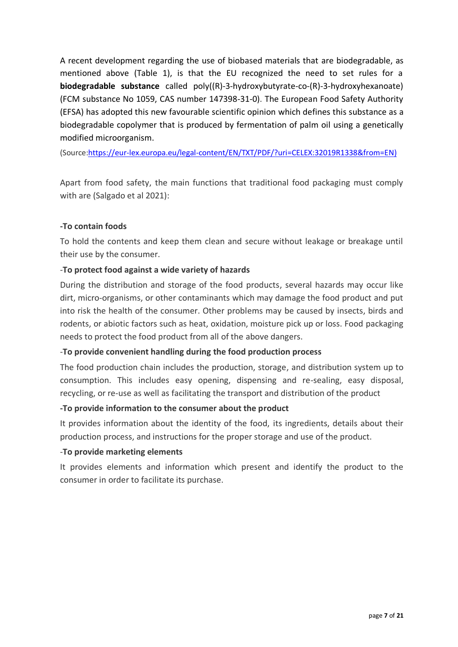A recent development regarding the use of biobased materials that are biodegradable, as mentioned above (Table 1), is that the EU recognized the need to set rules for a **biodegradable substance** called poly((R)-3-hydroxybutyrate-co-(R)-3-hydroxyhexanoate) (FCM substance No 1059, CAS number 147398-31-0). The European Food Safety Authority (EFSA) has adopted this new favourable scientific opinion which defines this substance as a biodegradable copolymer that is produced by fermentation of palm oil using a genetically modified microorganism.

(Source[:https://eur-lex.europa.eu/legal-content/EN/TXT/PDF/?uri=CELEX:32019R1338&from=EN\)](https://eur-lex.europa.eu/legal-content/EN/TXT/PDF/?uri=CELEX:32019R1338&from=EN)

Apart from food safety, the main functions that traditional food packaging must comply with are (Salgado et al 2021):

#### **-To contain foods**

To hold the contents and keep them clean and secure without leakage or breakage until their use by the consumer.

## -**To protect food against a wide variety of hazards**

During the distribution and storage of the food products, several hazards may occur like dirt, micro-organisms, or other contaminants which may damage the food product and put into risk the health of the consumer. Other problems may be caused by insects, birds and rodents, or abiotic factors such as heat, oxidation, moisture pick up or loss. Food packaging needs to protect the food product from all of the above dangers.

#### -**To provide convenient handling during the food production process**

The food production chain includes the production, storage, and distribution system up to consumption. This includes easy opening, dispensing and re-sealing, easy disposal, recycling, or re-use as well as facilitating the transport and distribution of the product

#### **-To provide information to the consumer about the product**

It provides information about the identity of the food, its ingredients, details about their production process, and instructions for the proper storage and use of the product.

#### -**To provide marketing elements**

It provides elements and information which present and identify the product to the consumer in order to facilitate its purchase.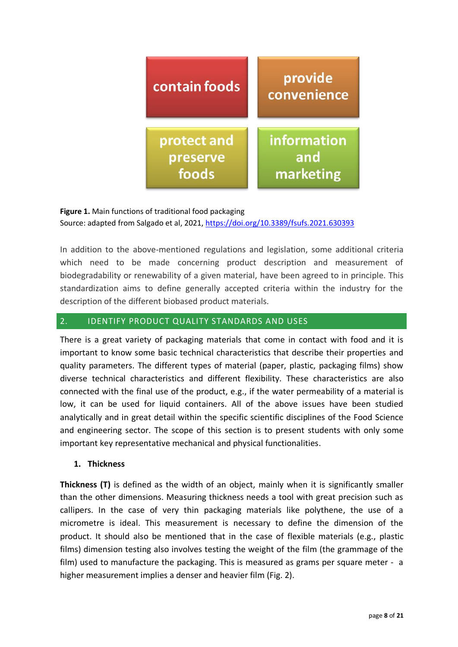

#### **Figure 1.** Main functions of traditional food packaging

Source: adapted from Salgado et al, 2021,<https://doi.org/10.3389/fsufs.2021.630393>

In addition to the above-mentioned regulations and legislation, some additional criteria which need to be made concerning product description and measurement of biodegradability or renewability of a given material, have been agreed to in principle. This standardization aims to define generally accepted criteria within the industry for the description of the different biobased product materials.

## 2. IDENTIFY PRODUCT QUALITY STANDARDS AND USES

There is a great variety of packaging materials that come in contact with food and it is important to know some basic technical characteristics that describe their properties and quality parameters. Τhe different types of material (paper, plastic, packaging films) show diverse technical characteristics and different flexibility. These characteristics are also connected with the final use of the product, e.g., if the water permeability of a material is low, it can be used for liquid containers. All of the above issues have been studied analytically and in great detail within the specific scientific disciplines of the Food Science and engineering sector. The scope of this section is to present students with only some important key representative mechanical and physical functionalities.

#### **1. Thickness**

**Thickness (T)** is defined as the width of an object, mainly when it is significantly smaller than the other dimensions. Measuring thickness needs a tool with great precision such as callipers. In the case of very thin packaging materials like polythene, the use of a micrometre is ideal. This measurement is necessary to define the dimension of the product. It should also be mentioned that in the case of flexible materials (e.g., plastic films) dimension testing also involves testing the weight of the film (the grammage of the film) used to manufacture the packaging. This is measured as grams per square meter - a higher measurement implies a denser and heavier film (Fig. 2).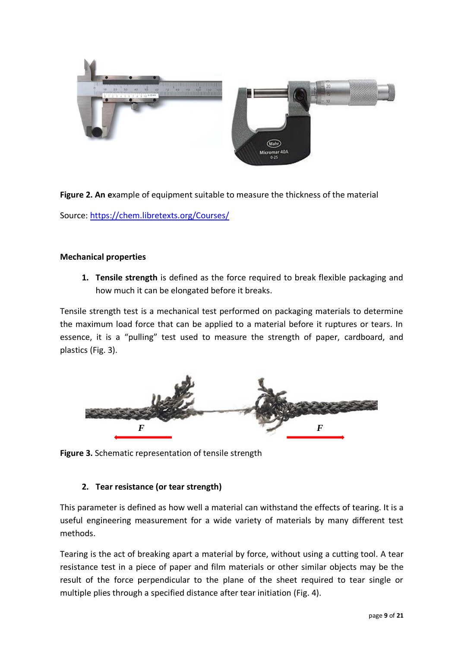

**Figure 2. An e**xample of equipment suitable to measure the thickness of the material Source:<https://chem.libretexts.org/Courses/>

#### **Mechanical properties**

**1. Tensile strength** is defined as the force required to break flexible packaging and how much it can be elongated before it breaks.

[Tensile strength test](https://www.campdenbri.co.uk/services/tensile-strength-test.php) is a mechanical test performed on packaging materials to determine the maximum load force that can be applied to a material before it ruptures or tears. In essence, it is a "pulling" test used to measure the strength of paper, cardboard, and plastics (Fig. 3).



**Figure 3.** Schematic representation of tensile strength

## **2. Tear resistance (or tear strength)**

This parameter is defined as how well a material can withstand the effects of [tearing.](https://en.wikipedia.org/wiki/Tearing) It is a useful engineering measurement for a wide variety of materials by many different test methods.

Tearing is the act of breaking apart a material by force, without using a [cutting tool.](https://en.wikipedia.org/wiki/Cutting_tool) A tear resistance test in a piece of [paper](https://en.wikipedia.org/wiki/Paper) and film materials or other similar objects may be the result of the force perpendicular to the plane of the sheet required to tear single or multiple plies through a specified distance after tear initiation (Fig. 4).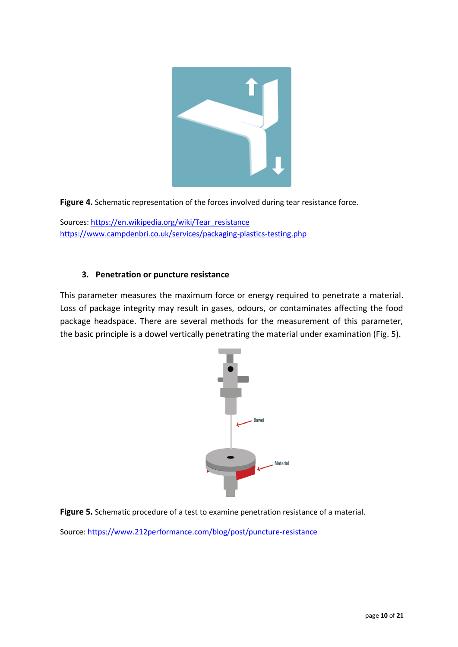

**Figure 4.** Schematic representation of the forces involved during tear resistance force.

Sources: [https://en.wikipedia.org/wiki/Tear\\_resistance](https://en.wikipedia.org/wiki/Tear_resistance) <https://www.campdenbri.co.uk/services/packaging-plastics-testing.php>

#### **3. Penetration or puncture resistance**

This parameter measures the maximum force or energy required to penetrate a material. Loss of package integrity may result in gases, odours, or contaminates affecting the food package headspace. There are several methods for the measurement of this parameter, the basic principle is a dowel vertically penetrating the material under examination (Fig. 5).



**Figure 5.** Schematic procedure of a test to examine penetration resistance of a material.

Source:<https://www.212performance.com/blog/post/puncture-resistance>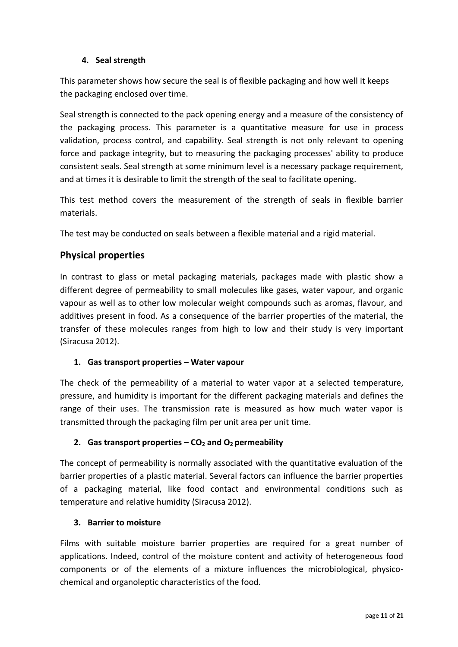## **4. Seal strength**

This parameter shows how secure the seal is of flexible packaging and how well it keeps the packaging enclosed over time.

Seal strength is connected to the pack opening energy and a measure of the consistency of the packaging process. This parameter is a quantitative measure for use in process validation, process control, and capability. Seal strength is not only relevant to opening force and package integrity, but to measuring the packaging processes' ability to produce consistent seals. Seal strength at some minimum level is a necessary package requirement, and at times it is desirable to limit the strength of the seal to facilitate opening.

This test method covers the measurement of the strength of seals in flexible barrier materials.

The test may be conducted on seals between a flexible material and a rigid material.

## **Physical properties**

In contrast to glass or metal packaging materials, packages made with plastic show a different degree of permeability to small molecules like gases, water vapour, and organic vapour as well as to other low molecular weight compounds such as aromas, flavour, and additives present in food. As a consequence of the barrier properties of the material, the transfer of these molecules ranges from high to low and their study is very important (Siracusa 2012).

#### **1. Gas transport properties – Water vapour**

The check of the permeability of a material to water vapor at a selected temperature, pressure, and humidity is important for the different packaging materials and defines the range of their uses. The transmission rate is measured as how much water vapor is transmitted through the packaging film per unit area per unit time.

## **2.** Gas transport properties  $-\mathbf{CO}_2$  and  $\mathbf{O}_2$  permeability

The concept of permeability is normally associated with the quantitative evaluation of the barrier properties of a plastic material. Several factors can influence the barrier properties of a packaging material, like food contact and environmental conditions such as temperature and relative humidity (Siracusa 2012).

#### **3. Barrier to moisture**

Films with suitable moisture barrier properties are required for a great number of applications. Indeed, control of the moisture content and activity of heterogeneous food components or of the elements of a mixture influences the microbiological, physicochemical and organoleptic characteristics of the food.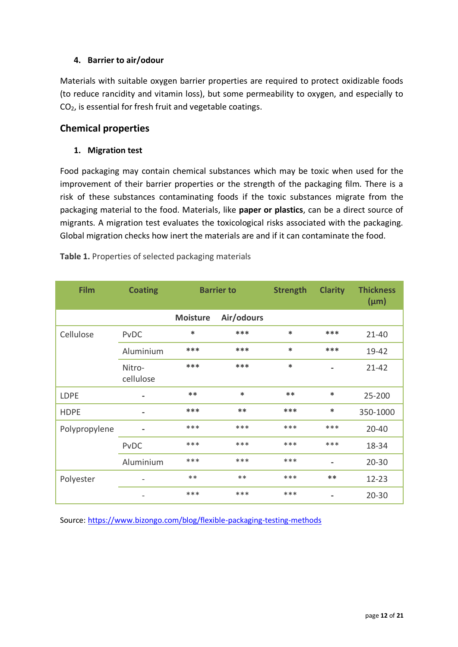## **4. Barrier to air/odour**

Materials with suitable oxygen barrier properties are required to protect oxidizable foods (to reduce rancidity and vitamin loss), but some permeability to oxygen, and especially to CO2, is essential for fresh fruit and vegetable coatings.

## **Chemical properties**

## **1. Migration test**

Food packaging may contain chemical substances which may be toxic when used for the improvement of their barrier properties or the strength of the packaging film. There is a risk of these substances contaminating foods if the toxic substances migrate from the packaging material to the food. Materials, like **paper or plastics**, can be a direct source of migrants. A migration test evaluates the toxicological risks associated with the packaging. Global migration checks how inert the materials are and if it can contaminate the food.

| <b>Film</b>   | <b>Coating</b>      | <b>Barrier to</b> |            | <b>Strength</b> | <b>Clarity</b> | <b>Thickness</b><br>$(\mu m)$ |
|---------------|---------------------|-------------------|------------|-----------------|----------------|-------------------------------|
|               |                     | <b>Moisture</b>   | Air/odours |                 |                |                               |
| Cellulose     | <b>PvDC</b>         | $\ast$            | ***        | $\ast$          | $***$          | $21 - 40$                     |
|               | Aluminium           | ***               | ***        | $\ast$          | ***            | 19-42                         |
|               | Nitro-<br>cellulose | ***               | ***        | $\ast$          | $\blacksquare$ | $21 - 42$                     |
| <b>LDPE</b>   |                     | $**$              | $\ast$     | $**$            | $\ast$         | 25-200                        |
| <b>HDPE</b>   | ۰                   | ***               | **         | ***             | $\ast$         | 350-1000                      |
| Polypropylene |                     | ***               | ***        | ***             | ***            | $20 - 40$                     |
|               | PvDC                | ***               | ***        | ***             | ***            | 18-34                         |
|               | Aluminium           | ***               | ***        | ***             | $\blacksquare$ | $20 - 30$                     |
| Polyester     |                     | $**$              | $**$       | ***             | $***$          | $12 - 23$                     |
|               |                     | ***               | ***        | ***             | ۰              | $20 - 30$                     |

**Table 1.** Properties of selected packaging materials

Source: <https://www.bizongo.com/blog/flexible-packaging-testing-methods>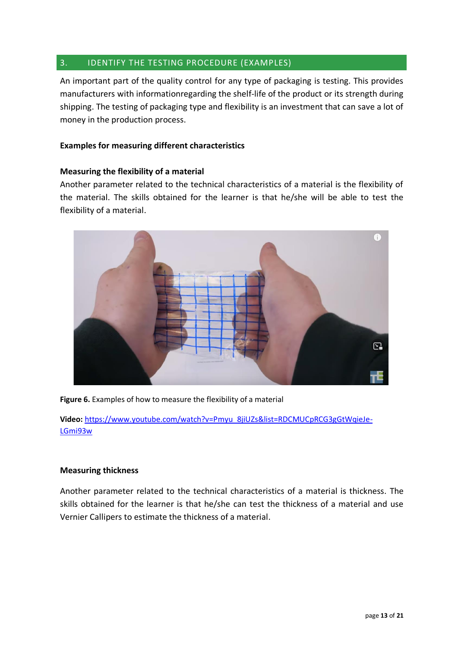## 3. IDENTIFY THE TESTING PROCEDURE (EXAMPLES)

An important part of the quality control for any type of packaging is testing. This provides manufacturers with informationregarding the shelf-life of the product or its strength during shipping. The testing of packaging type and flexibility is an investment that can save a lot of money in the production process.

### **Examples for measuring different characteristics**

#### **Measuring the flexibility of a material**

Another parameter related to the technical characteristics of a material is the flexibility of the material. The skills obtained for the learner is that he/she will be able to test the flexibility of a material.



**Figure 6.** Examples of how to measure the flexibility of a material

**Video:** [https://www.youtube.com/watch?v=Pmyu\\_8jiUZs&list=RDCMUCpRCG3gGtWqieJe-](https://www.youtube.com/watch?v=Pmyu_8jiUZs&list=RDCMUCpRCG3gGtWqieJe-LGmi93w)[LGmi93w](https://www.youtube.com/watch?v=Pmyu_8jiUZs&list=RDCMUCpRCG3gGtWqieJe-LGmi93w)

#### **Measuring thickness**

Another parameter related to the technical characteristics of a material is thickness. The skills obtained for the learner is that he/she can test the thickness of a material and use Vernier Callipers to estimate the thickness of a material.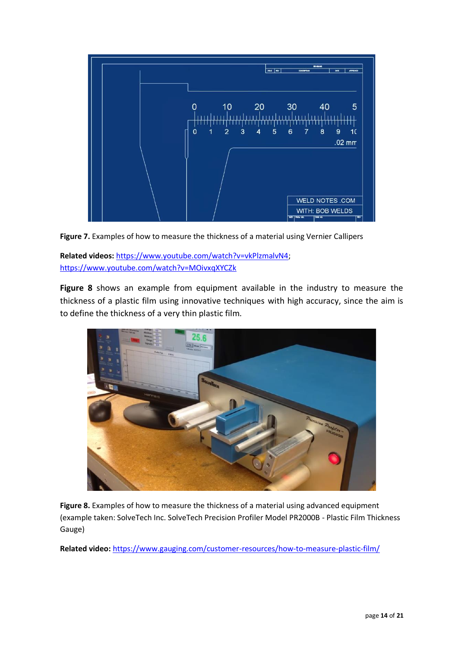

**Figure 7.** Examples of how to measure the thickness of a material using Vernier Callipers

**Related videos:** [https://www.youtube.com/watch?v=vkPlzmalvN4;](https://www.youtube.com/watch?v=vkPlzmalvN4) <https://www.youtube.com/watch?v=MOivxqXYCZk>

**Figure 8** shows an example from equipment available in the industry to measure the thickness of a plastic film using innovative techniques with high accuracy, since the aim is to define the thickness of a very thin plastic film.



**Figure 8.** Examples of how to measure the thickness of a material using advanced equipment (example taken: SolveTech Inc. SolveTech Precision Profiler Model PR2000B - Plastic Film Thickness Gauge)

**Related video:** <https://www.gauging.com/customer-resources/how-to-measure-plastic-film/>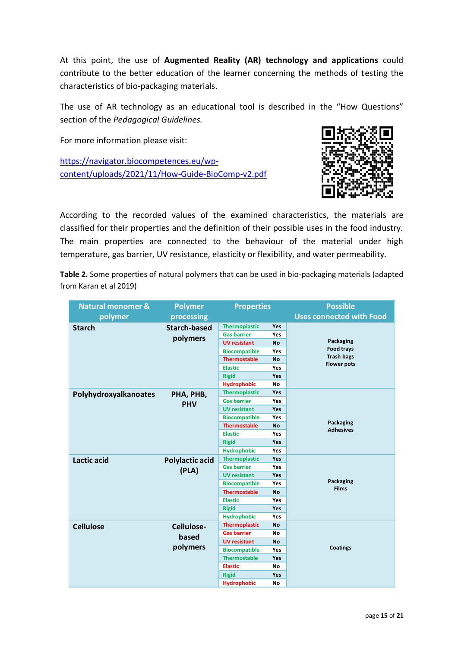At this point, the use of **Augmented Reality (AR) technology and applications** could contribute to the better education of the learner concerning the methods of testing the characteristics of bio-packaging materials.

The use of AR technology as an educational tool is described in the "How Questions" section of the *Pedagogical Guidelines.*

For more information please visit:

[https://navigator.biocompetences.eu/wp](https://navigator.biocompetences.eu/wp-content/uploads/2021/11/How-Guide-BioComp-v2.pdf)[content/uploads/2021/11/How-Guide-BioComp-v2.pdf](https://navigator.biocompetences.eu/wp-content/uploads/2021/11/How-Guide-BioComp-v2.pdf)



According to the recorded values of the examined characteristics, the materials are classified for their properties and the definition of their possible uses in the food industry. The main properties are connected to the behaviour of the material under high temperature, gas barrier, UV resistance, elasticity or flexibility, and water permeability.

**Table 2.** Some properties of natural polymers that can be used in bio-packaging materials (adapted from Karan et al 2019)

| <b>Natural monomer &amp;</b> | <b>Polymer</b>                  | <b>Properties</b>    |            | <b>Possible</b>                         |  |
|------------------------------|---------------------------------|----------------------|------------|-----------------------------------------|--|
| polymer                      | processing                      |                      |            | <b>Uses connected with Food</b>         |  |
| <b>Starch</b>                | <b>Starch-based</b>             | <b>Thermoplastic</b> | Yes        |                                         |  |
|                              | polymers                        | <b>Gas barrier</b>   | Yes        |                                         |  |
|                              |                                 | <b>UV resistant</b>  | <b>No</b>  | Packaging                               |  |
|                              |                                 | <b>Biocompatible</b> | Yes        | Food trays                              |  |
|                              |                                 | <b>Thermostable</b>  | <b>No</b>  | <b>Trash bags</b><br><b>Flower pots</b> |  |
|                              |                                 | <b>Elastic</b>       | Yes        |                                         |  |
|                              |                                 | <b>Rigid</b>         | Yes        |                                         |  |
|                              |                                 | <b>Hydrophobic</b>   | No         |                                         |  |
| Polyhydroxyalkanoates        | PHA, PHB,                       | <b>Thermoplastic</b> | Yes        |                                         |  |
|                              | <b>PHV</b>                      | <b>Gas barrier</b>   | Yes        |                                         |  |
|                              |                                 | <b>UV resistant</b>  | Yes        |                                         |  |
|                              |                                 | <b>Biocompatible</b> | Yes        |                                         |  |
|                              |                                 | <b>Thermostable</b>  | <b>No</b>  | Packaging<br><b>Adhesives</b>           |  |
|                              |                                 | <b>Elastic</b>       | Yes        |                                         |  |
|                              |                                 | <b>Rigid</b>         | <b>Yes</b> |                                         |  |
|                              |                                 | <b>Hydrophobic</b>   | Yes        |                                         |  |
| <b>Lactic acid</b>           | <b>Polylactic acid</b><br>(PLA) | <b>Thermoplastic</b> | Yes        |                                         |  |
|                              |                                 | <b>Gas barrier</b>   | Yes        |                                         |  |
|                              |                                 | <b>UV resistant</b>  | Yes        |                                         |  |
|                              |                                 | <b>Biocompatible</b> | Yes        | Packaging<br><b>Films</b>               |  |
|                              |                                 | <b>Thermostable</b>  | <b>No</b>  |                                         |  |
|                              |                                 | <b>Elastic</b>       | Yes        |                                         |  |
|                              |                                 | <b>Rigid</b>         | Yes        |                                         |  |
|                              |                                 | <b>Hydrophobic</b>   | Yes        |                                         |  |
| <b>Cellulose</b>             | Cellulose-                      | <b>Thermoplastic</b> | <b>No</b>  |                                         |  |
|                              | based<br>polymers               | <b>Gas barrier</b>   | No         |                                         |  |
|                              |                                 | <b>UV resistant</b>  | <b>No</b>  |                                         |  |
|                              |                                 | <b>Biocompatible</b> | Yes        | <b>Coatings</b>                         |  |
|                              |                                 | <b>Thermostable</b>  | Yes        |                                         |  |
|                              |                                 | <b>Elastic</b>       | No         |                                         |  |
|                              |                                 | <b>Rigid</b>         | Yes        |                                         |  |
|                              |                                 | <b>Hydrophobic</b>   | <b>No</b>  |                                         |  |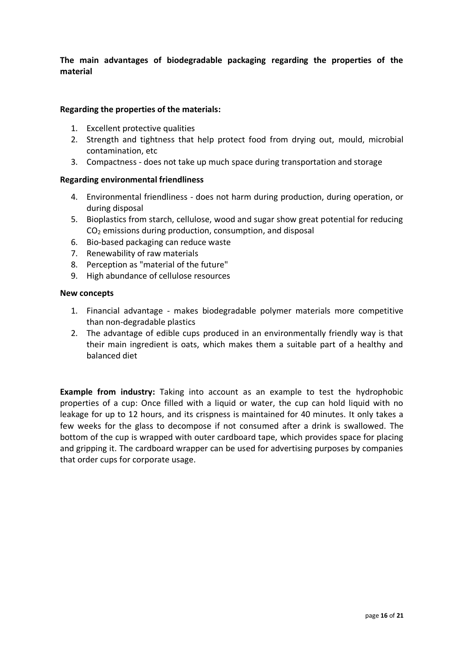**The main advantages of biodegradable packaging regarding the properties of the material**

#### **Regarding the properties of the materials:**

- 1. Excellent protective qualities
- 2. Strength and tightness that help protect food from drying out, mould, microbial contamination, etc
- 3. Compactness does not take up much space during transportation and storage

#### **Regarding environmental friendliness**

- 4. Environmental friendliness does not harm during production, during operation, or during disposal
- 5. Bioplastics from starch, cellulose, wood and sugar show great potential for reducing CO<sup>2</sup> emissions during production, consumption, and disposal
- 6. Bio-based packaging can reduce waste
- 7. Renewability of raw materials
- 8. Perception as "material of the future"
- 9. High abundance of cellulose resources

#### **New concepts**

- 1. Financial advantage makes biodegradable polymer materials more competitive than non-degradable plastics
- 2. The advantage of edible cups produced in an environmentally friendly way is that their main ingredient is oats, which makes them a suitable part of a healthy and balanced diet

**Example from industry:** Taking into account as an example to test the hydrophobic properties of a cup: Once filled with a liquid or water, the cup can hold liquid with no leakage for up to 12 hours, and its crispness is maintained for 40 minutes. It only takes a few weeks for the glass to decompose if not consumed after a drink is swallowed. The bottom of the cup is wrapped with outer cardboard tape, which provides space for placing and gripping it. The cardboard wrapper can be used for advertising purposes by companies that order cups for corporate usage.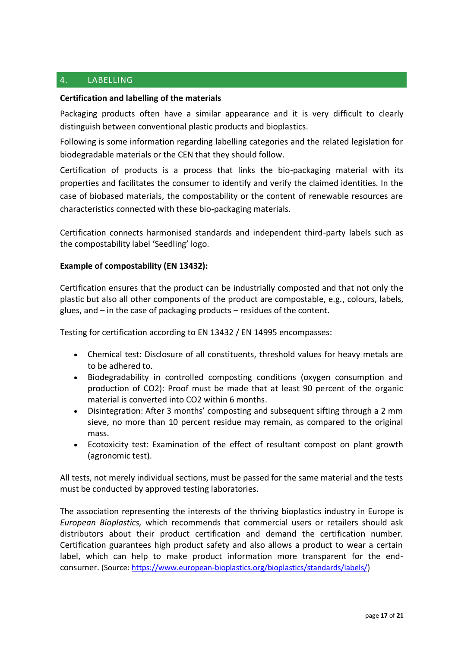## 4. LABELLING

#### **Certification and labelling of the materials**

Packaging products often have a similar appearance and it is very difficult to clearly distinguish between conventional plastic products and bioplastics.

Following is some information regarding labelling categories and the related legislation for biodegradable materials or the CEN that they should follow.

Certification of products is a process that links the bio-packaging material with its properties and facilitates the consumer to identify and verify the claimed identities. In the case of biobased materials, the compostability or the content of renewable resources are characteristics connected with these bio-packaging materials.

Certification connects harmonised standards and independent third-party labels such as the compostability label 'Seedling' logo.

#### **Example of compostability (EN 13432):**

Certification ensures that the product can be industrially composted and that not only the plastic but also all other components of the product are compostable, e.g., colours, labels, glues, and – in the case of packaging products – residues of the content.

Testing for certification according to EN 13432 / EN 14995 encompasses:

- Chemical test: Disclosure of all constituents, threshold values for heavy metals are to be adhered to.
- Biodegradability in controlled composting conditions (oxygen consumption and production of CO2): Proof must be made that at least 90 percent of the organic material is converted into CO2 within 6 months.
- Disintegration: After 3 months' composting and subsequent sifting through a 2 mm sieve, no more than 10 percent residue may remain, as compared to the original mass.
- Ecotoxicity test: Examination of the effect of resultant compost on plant growth (agronomic test).

All tests, not merely individual sections, must be passed for the same material and the tests must be conducted by approved testing laboratories.

The association representing the interests of the thriving bioplastics industry in Europe is *European Bioplastics,* which recommends that commercial users or retailers should ask distributors about their product certification and demand the certification number. Certification guarantees high product safety and also allows a product to wear a certain label, which can help to make product information more transparent for the endconsumer. (Source: [https://www.european-bioplastics.org/bioplastics/standards/labels/\)](https://www.european-bioplastics.org/bioplastics/standards/labels/)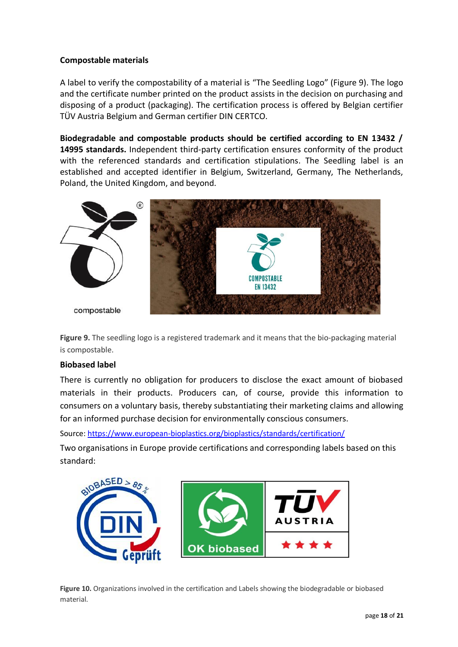## **Compostable materials**

A label to verify the compostability of a material is "The Seedling Logo" (Figure 9). The logo and the certificate number printed on the product assists in the decision on purchasing and disposing of a product (packaging). The certification process is offered by Belgian certifier TÜV Austria Belgium and German certifier DIN CERTCO.

**Biodegradable and compostable products should be certified according to EN 13432 / 14995 standards.** Independent third-party certification ensures conformity of the product with the referenced standards and certification stipulations. The Seedling label is an established and accepted identifier in Belgium, Switzerland, Germany, The Netherlands, Poland, the United Kingdom, and beyond.



**Figure 9.** The seedling logo is a registered trademark and it means that the bio-packaging material is compostable.

#### **Biobased label**

There is currently no obligation for producers to disclose the exact amount of biobased materials in their products. Producers can, of course, provide this information to consumers on a voluntary basis, thereby substantiating their marketing claims and allowing for an informed purchase decision for environmentally conscious consumers.

Source:<https://www.european-bioplastics.org/bioplastics/standards/certification/>

Two organisations in Europe provide certifications and corresponding labels based on this standard:



**Figure 10.** Organizations involved in the certification and Labels showing the biodegradable or biobased material.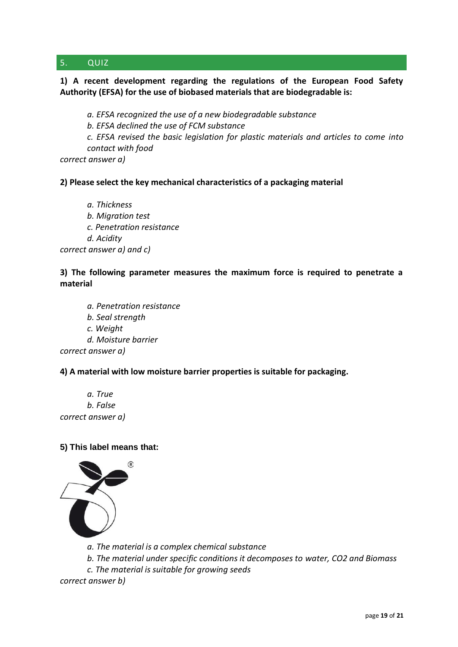## 5. QUIZ

## **1) A recent development regarding the regulations of the European Food Safety Authority (EFSA) for the use of biobased materials that are biodegradable is:**

*a. EFSA recognized the use of a new biodegradable substance*

*b. EFSA declined the use of FCM substance*

*c. EFSA revised the basic legislation for plastic materials and articles to come into contact with food*

*correct answer a)*

#### **2) Please select the key mechanical characteristics of a packaging material**

*a. Thickness b. Migration test c. Penetration resistance d. Acidity correct answer a) and c)*

## **3) The following parameter measures the maximum force is required to penetrate a material**

- *a. Penetration resistance*
- *b. Seal strength*
- *c. Weight*
- *d. Moisture barrier*

*correct answer a)*

#### **4) A material with low moisture barrier properties is suitable for packaging.**

*a. True b. False correct answer a)*

#### **5) This label means that:**



*a. The material is a complex chemical substance*

*b. The material under specific conditions it decomposes to water, CO2 and Biomass*

*c. The material is suitable for growing seeds*

*correct answer b)*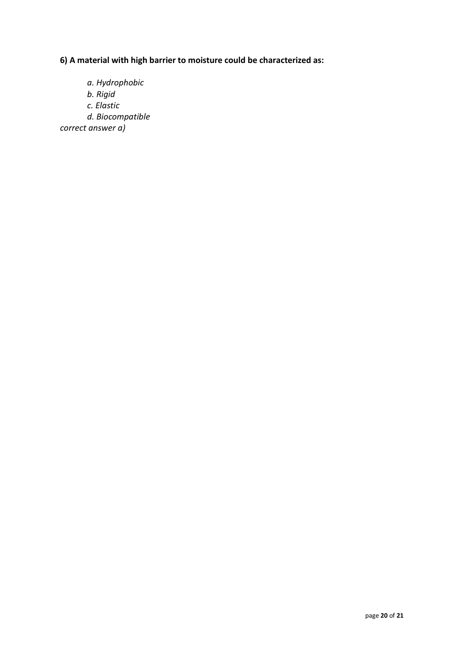**6) A material with high barrier to moisture could be characterized as:**

*a. Hydrophobic b. Rigid c. Elastic d. Biocompatible correct answer a)*